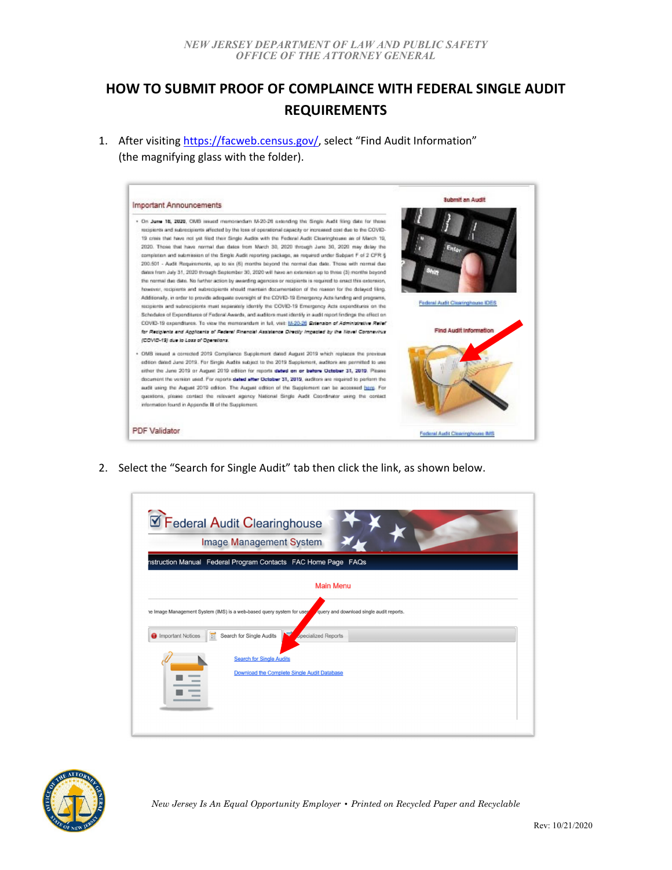## **HOW TO SUBMIT PROOF OF COMPLAINCE WITH FEDERAL SINGLE AUDIT REQUIREMENTS**

1. After visiting https://facweb.census.gov/, select "Find Audit Information" (the magnifying glass with the folder).



2. Select the "Search for Single Audit" tab then click the link, as shown below.

|                                 | <b>Image Management System</b>                                        |                                          |  |
|---------------------------------|-----------------------------------------------------------------------|------------------------------------------|--|
|                                 | nstruction Manual Federal Program Contacts FAC Home Page FAQs         |                                          |  |
|                                 |                                                                       | <b>Main Menu</b>                         |  |
|                                 | he Image Management System (IMS) is a web-based query system for user | query and download single audit reports. |  |
|                                 |                                                                       |                                          |  |
| π<br><b>O</b> Important Notices | Search for Single Audits                                              | <b>Specialized Reports</b>               |  |
|                                 |                                                                       |                                          |  |
|                                 | <b>Search for Single Audits</b>                                       |                                          |  |
|                                 | Download the Complete Single Audit Database                           |                                          |  |
|                                 |                                                                       |                                          |  |
|                                 |                                                                       |                                          |  |

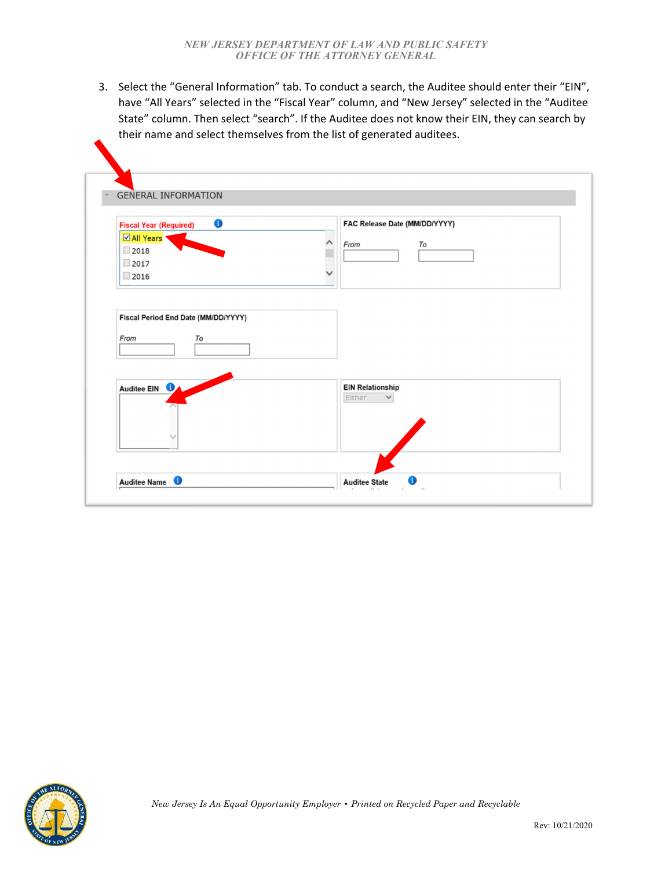3. Select the "General Information" tab. To conduct a search, the Auditee should enter their "EIN", have "All Years" selected in the "Fiscal Year" column, and "New Jersey" selected in the "Auditee State" column. Then select "search". If the Auditee does not know their EIN, they can search by their name and select themselves from the list of generated auditees.

| 6<br><b>Fiscal Year (Required)</b>          | FAC Release Date (MM/DD/YYYY)                     |
|---------------------------------------------|---------------------------------------------------|
| <b>Ø All Years</b>                          | From<br>To                                        |
| 2018                                        |                                                   |
| 2017                                        |                                                   |
| 2016                                        |                                                   |
| To                                          |                                                   |
| Fiscal Period End Date (MM/DD/YYYY)<br>From |                                                   |
| Auditee EIN <b>O</b>                        | <b>EIN Relationship</b><br>Either<br>$\checkmark$ |